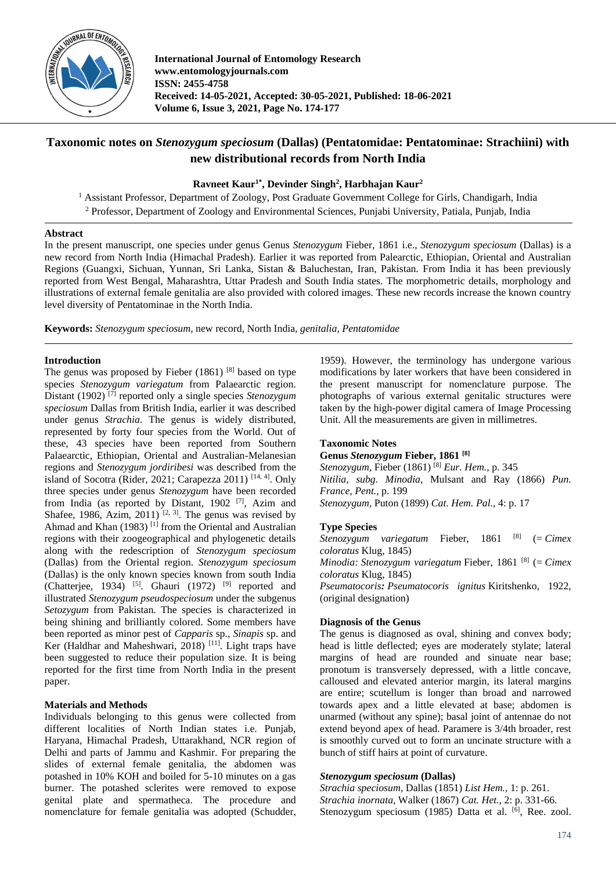

**International Journal of Entomology Research www.entomologyjournals.com ISSN: 2455-4758 Received: 14-05-2021, Accepted: 30-05-2021, Published: 18-06-2021 Volume 6, Issue 3, 2021, Page No. 174-177**

# **Taxonomic notes on** *Stenozygum speciosum* **(Dallas) (Pentatomidae: Pentatominae: Strachiini) with new distributional records from North India**

# **Ravneet Kaur1\* , Devinder Singh<sup>2</sup> , Harbhajan Kaur<sup>2</sup>**

<sup>1</sup> Assistant Professor, Department of Zoology, Post Graduate Government College for Girls, Chandigarh, India <sup>2</sup> Professor, Department of Zoology and Environmental Sciences, Punjabi University, Patiala, Punjab, India

### **Abstract**

In the present manuscript, one species under genus Genus *Stenozygum* Fieber, 1861 i.e., *Stenozygum speciosum* (Dallas) is a new record from North India (Himachal Pradesh). Earlier it was reported from Palearctic, Ethiopian, Oriental and Australian Regions (Guangxi, Sichuan, Yunnan, Sri Lanka, Sistan & Baluchestan, Iran, Pakistan. From India it has been previously reported from West Bengal, Maharashtra, Uttar Pradesh and South India states. The morphometric details, morphology and illustrations of external female genitalia are also provided with colored images. These new records increase the known country level diversity of Pentatominae in the North India.

**Keywords:** *Stenozygum speciosum,* new record, North India*, genitalia, Pentatomidae*

# **Introduction**

The genus was proposed by Fieber  $(1861)$ <sup>[8]</sup> based on type species *Stenozygum variegatum* from Palaearctic region. Distant (1902) [7] reported only a single species *Stenozygum speciosum* Dallas from British India, earlier it was described under genus *Strachia*. The genus is widely distributed, represented by forty four species from the World. Out of these, 43 species have been reported from Southern Palaearctic, Ethiopian, Oriental and Australian-Melanesian regions and *Stenozygum jordiribesi* was described from the island of Socotra (Rider, 2021; Carapezza 2011)<sup>[14, 4]</sup>. Only three species under genus *Stenozygum* have been recorded from India (as reported by Distant,  $1902$ <sup>[7]</sup>, Azim and Shafee, 1986, Azim, 2011)<sup>[2, 3]</sup>. The genus was revised by Ahmad and Khan (1983)<sup>[1]</sup> from the Oriental and Australian regions with their zoogeographical and phylogenetic details along with the redescription of *Stenozygum speciosum* (Dallas) from the Oriental region. *Stenozygum speciosum*  (Dallas) is the only known species known from south India (Chatterjee, 1934) <sup>[5]</sup>. Ghauri (1972) <sup>[9]</sup> reported and illustrated *Stenozygum pseudospeciosum* under the subgenus *Setozygum* from Pakistan. The species is characterized in being shining and brilliantly colored. Some members have been reported as minor pest of *Capparis* sp., *Sinapis* sp. and Ker (Haldhar and Maheshwari, 2018)<sup>[11]</sup>. Light traps have been suggested to reduce their population size. It is being reported for the first time from North India in the present paper.

# **Materials and Methods**

Individuals belonging to this genus were collected from different localities of North Indian states i.e. Punjab, Haryana, Himachal Pradesh, Uttarakhand, NCR region of Delhi and parts of Jammu and Kashmir. For preparing the slides of external female genitalia, the abdomen was potashed in 10% KOH and boiled for 5-10 minutes on a gas burner. The potashed sclerites were removed to expose genital plate and spermatheca. The procedure and nomenclature for female genitalia was adopted (Schudder, 1959). However, the terminology has undergone various modifications by later workers that have been considered in the present manuscript for nomenclature purpose. The photographs of various external genitalic structures were taken by the high-power digital camera of Image Processing Unit. All the measurements are given in millimetres.

# **Taxonomic Notes**

**Genus** *Stenozygum* **Fieber, 1861 [8]** *Stenozygum,* Fieber (1861) [8] *Eur. Hem.,* p. 345 *Nitilia, subg. Minodia,* Mulsant and Ray (1866) *Pun. France, Pent.,* p. 199 *Stenozygum,* Puton (1899) *Cat. Hem. Pal.,* 4: p. 17

# **Type Species**

*Stenozygum variegatum* Fieber, 1861 <sup>[8]</sup> (= *Cimex coloratus* Klug, 1845) *Minodia: Stenozygum variegatum* Fieber, 1861 [8] (= *Cimex coloratus* Klug, 1845) *Pseumatocoris: Pseumatocoris ignitus* Kiritshenko, 1922, (original designation)

# **Diagnosis of the Genus**

The genus is diagnosed as oval, shining and convex body; head is little deflected; eyes are moderately stylate; lateral margins of head are rounded and sinuate near base; pronotum is transversely depressed, with a little concave, calloused and elevated anterior margin, its lateral margins are entire; scutellum is longer than broad and narrowed towards apex and a little elevated at base; abdomen is unarmed (without any spine); basal joint of antennae do not extend beyond apex of head. Paramere is 3/4th broader, rest is smoothly curved out to form an uncinate structure with a bunch of stiff hairs at point of curvature.

#### *Stenozygum speciosum* **(Dallas)**

*Strachia speciosum,* Dallas (1851) *List Hem.,* 1: p. 261. *Strachia inornata,* Walker (1867) *Cat. Het.,* 2: p. 331-66. Stenozygum speciosum (1985) Datta et al. <sup>[6]</sup>, Ree. zool.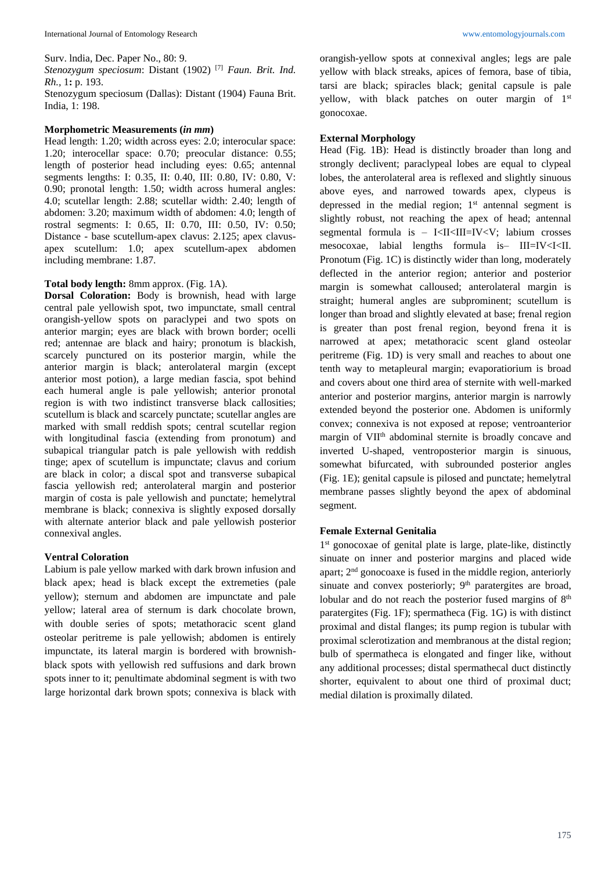Surv. lndia, Dec. Paper No., 80: 9.

*Stenozygum speciosum*: Distant (1902) [7] *Faun. Brit. Ind. Rh.,* 1**:** p. 193.

Stenozygum speciosum (Dallas): Distant (1904) Fauna Brit. India, 1: 198.

#### **Morphometric Measurements (***in mm***)**

Head length: 1.20; width across eyes: 2.0; interocular space: 1.20; interocellar space: 0.70; preocular distance: 0.55; length of posterior head including eyes: 0.65; antennal segments lengths: I: 0.35, II: 0.40, III: 0.80, IV: 0.80, V: 0.90; pronotal length: 1.50; width across humeral angles: 4.0; scutellar length: 2.88; scutellar width: 2.40; length of abdomen: 3.20; maximum width of abdomen: 4.0; length of rostral segments: I: 0.65, II: 0.70, III: 0.50, IV: 0.50; Distance - base scutellum-apex clavus: 2.125; apex clavusapex scutellum: 1.0; apex scutellum-apex abdomen including membrane: 1.87.

### **Total body length:** 8mm approx. (Fig. 1A).

**Dorsal Coloration:** Body is brownish, head with large central pale yellowish spot, two impunctate, small central orangish-yellow spots on paraclypei and two spots on anterior margin; eyes are black with brown border; ocelli red; antennae are black and hairy; pronotum is blackish, scarcely punctured on its posterior margin, while the anterior margin is black; anterolateral margin (except anterior most potion), a large median fascia, spot behind each humeral angle is pale yellowish; anterior pronotal region is with two indistinct transverse black callosities; scutellum is black and scarcely punctate; scutellar angles are marked with small reddish spots; central scutellar region with longitudinal fascia (extending from pronotum) and subapical triangular patch is pale yellowish with reddish tinge; apex of scutellum is impunctate; clavus and corium are black in color; a discal spot and transverse subapical fascia yellowish red; anterolateral margin and posterior margin of costa is pale yellowish and punctate; hemelytral membrane is black; connexiva is slightly exposed dorsally with alternate anterior black and pale yellowish posterior connexival angles.

#### **Ventral Coloration**

Labium is pale yellow marked with dark brown infusion and black apex; head is black except the extremeties (pale yellow); sternum and abdomen are impunctate and pale yellow; lateral area of sternum is dark chocolate brown, with double series of spots; metathoracic scent gland osteolar peritreme is pale yellowish; abdomen is entirely impunctate, its lateral margin is bordered with brownishblack spots with yellowish red suffusions and dark brown spots inner to it; penultimate abdominal segment is with two large horizontal dark brown spots; connexiva is black with orangish-yellow spots at connexival angles; legs are pale yellow with black streaks, apices of femora, base of tibia, tarsi are black; spiracles black; genital capsule is pale yellow, with black patches on outer margin of  $1<sup>st</sup>$ gonocoxae.

#### **External Morphology**

Head (Fig. 1B): Head is distinctly broader than long and strongly declivent; paraclypeal lobes are equal to clypeal lobes, the anterolateral area is reflexed and slightly sinuous above eyes, and narrowed towards apex, clypeus is depressed in the medial region;  $1<sup>st</sup>$  antennal segment is slightly robust, not reaching the apex of head; antennal segmental formula is – I<II<III=IV<V; labium crosses mesocoxae, labial lengths formula is– III=IV<I<II. Pronotum (Fig. 1C) is distinctly wider than long, moderately deflected in the anterior region; anterior and posterior margin is somewhat calloused; anterolateral margin is straight; humeral angles are subprominent; scutellum is longer than broad and slightly elevated at base; frenal region is greater than post frenal region, beyond frena it is narrowed at apex; metathoracic scent gland osteolar peritreme (Fig. 1D) is very small and reaches to about one tenth way to metapleural margin; evaporatiorium is broad and covers about one third area of sternite with well-marked anterior and posterior margins, anterior margin is narrowly extended beyond the posterior one. Abdomen is uniformly convex; connexiva is not exposed at repose; ventroanterior margin of VII<sup>th</sup> abdominal sternite is broadly concave and inverted U-shaped, ventroposterior margin is sinuous, somewhat bifurcated, with subrounded posterior angles (Fig. 1E); genital capsule is pilosed and punctate; hemelytral membrane passes slightly beyond the apex of abdominal segment.

### **Female External Genitalia**

1 st gonocoxae of genital plate is large, plate-like, distinctly sinuate on inner and posterior margins and placed wide apart;  $2<sup>nd</sup>$  gonocoaxe is fused in the middle region, anteriorly sinuate and convex posteriorly;  $9<sup>th</sup>$  paratergites are broad, lobular and do not reach the posterior fused margins of 8<sup>th</sup> paratergites (Fig. 1F); spermatheca (Fig. 1G) is with distinct proximal and distal flanges; its pump region is tubular with proximal sclerotization and membranous at the distal region; bulb of spermatheca is elongated and finger like, without any additional processes; distal spermathecal duct distinctly shorter, equivalent to about one third of proximal duct; medial dilation is proximally dilated.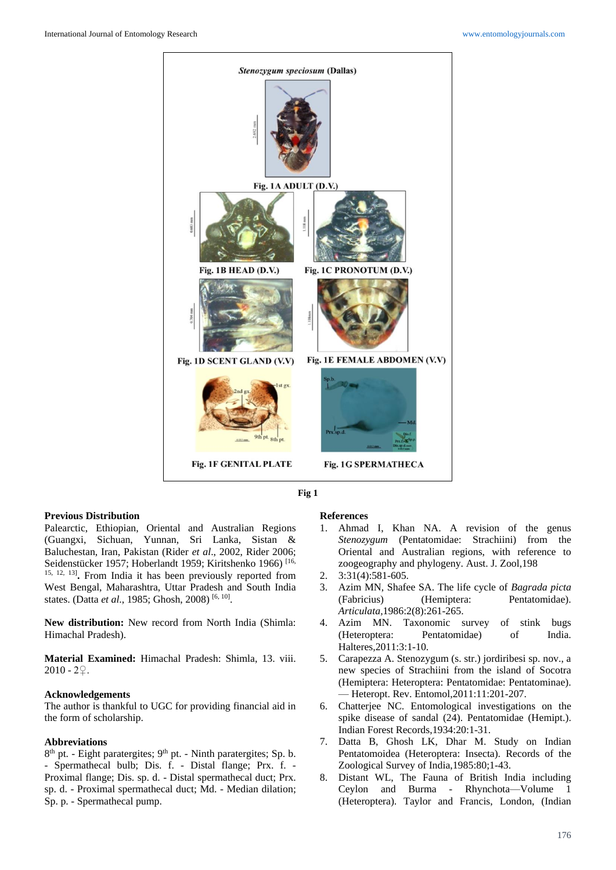



### **Previous Distribution**

Palearctic, Ethiopian, Oriental and Australian Regions (Guangxi, Sichuan, Yunnan, Sri Lanka, Sistan & Baluchestan, Iran, Pakistan (Rider *et al*., 2002, Rider 2006; Seidenstücker 1957; Hoberlandt 1959; Kiritshenko 1966)<sup>[16,</sup> 15, 12, 13] **.** From India it has been previously reported from West Bengal, Maharashtra, Uttar Pradesh and South India states. (Datta *et al.*, 1985; Ghosh, 2008)<sup>[6, 10]</sup>.

**New distribution:** New record from North India (Shimla: Himachal Pradesh).

**Material Examined:** Himachal Pradesh: Shimla, 13. viii.  $2010 - 2$ .

#### **Acknowledgements**

The author is thankful to UGC for providing financial aid in the form of scholarship.

#### **Abbreviations**

8<sup>th</sup> pt. - Eight paratergites; 9<sup>th</sup> pt. - Ninth paratergites; Sp. b. - Spermathecal bulb; Dis. f. - Distal flange; Prx. f. - Proximal flange; Dis. sp. d. - Distal spermathecal duct; Prx. sp. d. - Proximal spermathecal duct; Md. - Median dilation; Sp. p. - Spermathecal pump.

### **References**

- 1. Ahmad I, Khan NA. A revision of the genus *Stenozygum* (Pentatomidae: Strachiini) from the Oriental and Australian regions, with reference to zoogeography and phylogeny. Aust. J. Zool,198
- 2.  $3:31(4):581-605$ .
- 3. Azim MN, Shafee SA. The life cycle of *Bagrada picta* (Fabricius) (Hemiptera: Pentatomidae). *Articulata,*1986:2(8):261-265.
- 4. Azim MN. Taxonomic survey of stink bugs (Heteroptera: Pentatomidae) of India. Halteres*,*2011:3:1-10.
- 5. Carapezza A. Stenozygum (s. str.) jordiribesi sp. nov., a new species of Strachiini from the island of Socotra (Hemiptera: Heteroptera: Pentatomidae: Pentatominae). — Heteropt. Rev. Entomol,2011:11:201-207.
- 6. Chatterjee NC. Entomological investigations on the spike disease of sandal (24). Pentatomidae (Hemipt.). Indian Forest Records,1934:20:1-31.
- 7. Datta B, Ghosh LK, Dhar M. Study on Indian Pentatomoidea (Heteroptera: Insecta). Records of the Zoological Survey of India,1985:80;1-43.
- 8. Distant WL, The Fauna of British India including Ceylon and Burma - Rhynchota—Volume 1 (Heteroptera). Taylor and Francis, London, (Indian